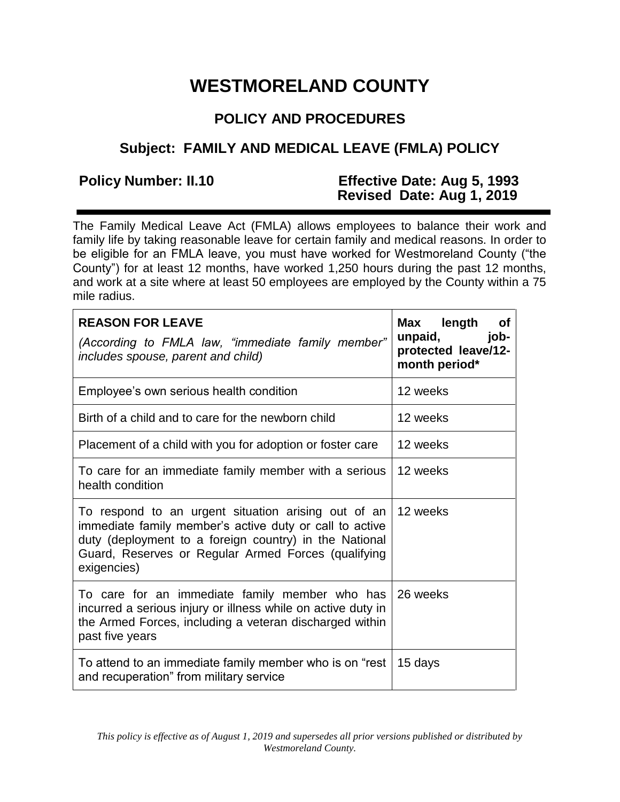# **WESTMORELAND COUNTY**

# **POLICY AND PROCEDURES**

## **Subject: FAMILY AND MEDICAL LEAVE (FMLA) POLICY**

### **Policy Number: II.10 Effective Date: Aug 5, 1993 Revised Date: Aug 1, 2019**

The Family Medical Leave Act (FMLA) allows employees to balance their work and family life by taking reasonable leave for certain family and medical reasons. In order to be eligible for an FMLA leave, you must have worked for Westmoreland County ("the County") for at least 12 months, have worked 1,250 hours during the past 12 months, and work at a site where at least 50 employees are employed by the County within a 75 mile radius.

| <b>REASON FOR LEAVE</b><br>(According to FMLA law, "immediate family member"<br>includes spouse, parent and child)                                                                                                                             | Max length<br>Οf<br>unpaid,<br>job-<br>protected leave/12-<br>month period* |
|------------------------------------------------------------------------------------------------------------------------------------------------------------------------------------------------------------------------------------------------|-----------------------------------------------------------------------------|
| Employee's own serious health condition                                                                                                                                                                                                        | 12 weeks                                                                    |
| Birth of a child and to care for the newborn child                                                                                                                                                                                             | 12 weeks                                                                    |
| Placement of a child with you for adoption or foster care                                                                                                                                                                                      | 12 weeks                                                                    |
| To care for an immediate family member with a serious<br>health condition                                                                                                                                                                      | 12 weeks                                                                    |
| To respond to an urgent situation arising out of an<br>immediate family member's active duty or call to active<br>duty (deployment to a foreign country) in the National<br>Guard, Reserves or Regular Armed Forces (qualifying<br>exigencies) | 12 weeks                                                                    |
| To care for an immediate family member who has<br>incurred a serious injury or illness while on active duty in<br>the Armed Forces, including a veteran discharged within<br>past five years                                                   | 26 weeks                                                                    |
| To attend to an immediate family member who is on "rest<br>and recuperation" from military service                                                                                                                                             | 15 days                                                                     |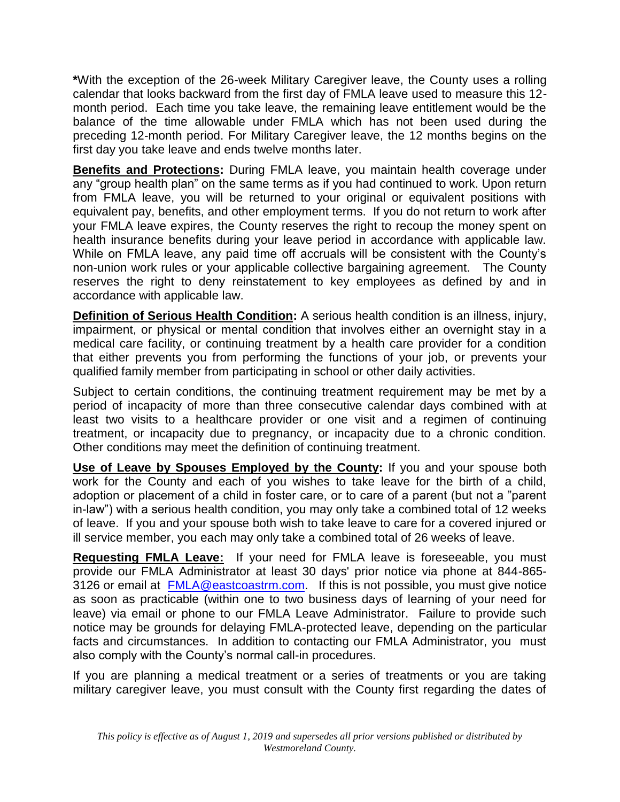**\***With the exception of the 26-week Military Caregiver leave, the County uses a rolling calendar that looks backward from the first day of FMLA leave used to measure this 12 month period. Each time you take leave, the remaining leave entitlement would be the balance of the time allowable under FMLA which has not been used during the preceding 12-month period. For Military Caregiver leave, the 12 months begins on the first day you take leave and ends twelve months later.

**Benefits and Protections:** During FMLA leave, you maintain health coverage under any "group health plan" on the same terms as if you had continued to work. Upon return from FMLA leave, you will be returned to your original or equivalent positions with equivalent pay, benefits, and other employment terms. If you do not return to work after your FMLA leave expires, the County reserves the right to recoup the money spent on health insurance benefits during your leave period in accordance with applicable law. While on FMLA leave, any paid time off accruals will be consistent with the County's non-union work rules or your applicable collective bargaining agreement. The County reserves the right to deny reinstatement to key employees as defined by and in accordance with applicable law.

**Definition of Serious Health Condition:** A serious health condition is an illness, injury, impairment, or physical or mental condition that involves either an overnight stay in a medical care facility, or continuing treatment by a health care provider for a condition that either prevents you from performing the functions of your job, or prevents your qualified family member from participating in school or other daily activities.

Subject to certain conditions, the continuing treatment requirement may be met by a period of incapacity of more than three consecutive calendar days combined with at least two visits to a healthcare provider or one visit and a regimen of continuing treatment, or incapacity due to pregnancy, or incapacity due to a chronic condition. Other conditions may meet the definition of continuing treatment.

**Use of Leave by Spouses Employed by the County:** If you and your spouse both work for the County and each of you wishes to take leave for the birth of a child, adoption or placement of a child in foster care, or to care of a parent (but not a "parent in-law") with a serious health condition, you may only take a combined total of 12 weeks of leave. If you and your spouse both wish to take leave to care for a covered injured or ill service member, you each may only take a combined total of 26 weeks of leave.

**Requesting FMLA Leave:** If your need for FMLA leave is foreseeable, you must provide our FMLA Administrator at least 30 days' prior notice via phone at 844-865- 3126 or email at [FMLA@eastcoastrm.com.](mailto:FMLA@eastcoastrm.com) If this is not possible, you must give notice as soon as practicable (within one to two business days of learning of your need for leave) via email or phone to our FMLA Leave Administrator. Failure to provide such notice may be grounds for delaying FMLA-protected leave, depending on the particular facts and circumstances. In addition to contacting our FMLA Administrator, you must also comply with the County's normal call-in procedures.

If you are planning a medical treatment or a series of treatments or you are taking military caregiver leave, you must consult with the County first regarding the dates of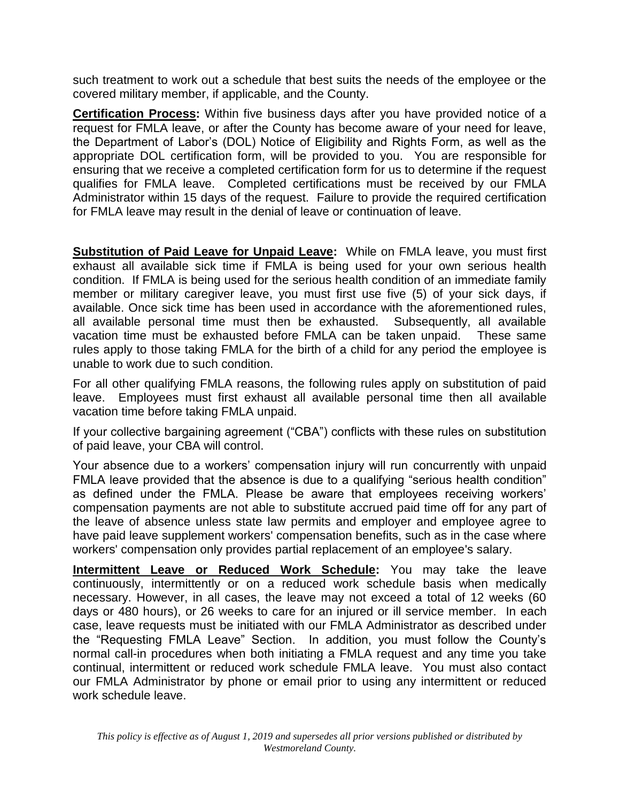such treatment to work out a schedule that best suits the needs of the employee or the covered military member, if applicable, and the County.

**Certification Process:** Within five business days after you have provided notice of a request for FMLA leave, or after the County has become aware of your need for leave, the Department of Labor's (DOL) Notice of Eligibility and Rights Form, as well as the appropriate DOL certification form, will be provided to you. You are responsible for ensuring that we receive a completed certification form for us to determine if the request qualifies for FMLA leave. Completed certifications must be received by our FMLA Administrator within 15 days of the request. Failure to provide the required certification for FMLA leave may result in the denial of leave or continuation of leave.

**Substitution of Paid Leave for Unpaid Leave:** While on FMLA leave, you must first exhaust all available sick time if FMLA is being used for your own serious health condition. If FMLA is being used for the serious health condition of an immediate family member or military caregiver leave, you must first use five (5) of your sick days, if available. Once sick time has been used in accordance with the aforementioned rules, all available personal time must then be exhausted. Subsequently, all available vacation time must be exhausted before FMLA can be taken unpaid. These same rules apply to those taking FMLA for the birth of a child for any period the employee is unable to work due to such condition.

For all other qualifying FMLA reasons, the following rules apply on substitution of paid leave. Employees must first exhaust all available personal time then all available vacation time before taking FMLA unpaid.

If your collective bargaining agreement ("CBA") conflicts with these rules on substitution of paid leave, your CBA will control.

Your absence due to a workers' compensation injury will run concurrently with unpaid FMLA leave provided that the absence is due to a qualifying "serious health condition" as defined under the FMLA. Please be aware that employees receiving workers' compensation payments are not able to substitute accrued paid time off for any part of the leave of absence unless state law permits and employer and employee agree to have paid leave supplement workers' compensation benefits, such as in the case where workers' compensation only provides partial replacement of an employee's salary.

**Intermittent Leave or Reduced Work Schedule:** You may take the leave continuously, intermittently or on a reduced work schedule basis when medically necessary. However, in all cases, the leave may not exceed a total of 12 weeks (60 days or 480 hours), or 26 weeks to care for an injured or ill service member. In each case, leave requests must be initiated with our FMLA Administrator as described under the "Requesting FMLA Leave" Section. In addition, you must follow the County's normal call-in procedures when both initiating a FMLA request and any time you take continual, intermittent or reduced work schedule FMLA leave. You must also contact our FMLA Administrator by phone or email prior to using any intermittent or reduced work schedule leave.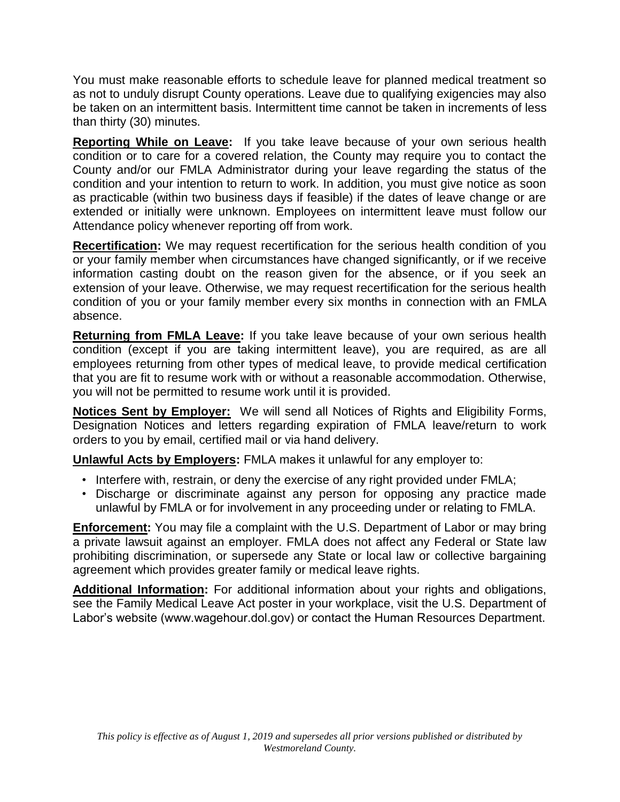You must make reasonable efforts to schedule leave for planned medical treatment so as not to unduly disrupt County operations. Leave due to qualifying exigencies may also be taken on an intermittent basis. Intermittent time cannot be taken in increments of less than thirty (30) minutes.

**Reporting While on Leave:** If you take leave because of your own serious health condition or to care for a covered relation, the County may require you to contact the County and/or our FMLA Administrator during your leave regarding the status of the condition and your intention to return to work. In addition, you must give notice as soon as practicable (within two business days if feasible) if the dates of leave change or are extended or initially were unknown. Employees on intermittent leave must follow our Attendance policy whenever reporting off from work.

**Recertification:** We may request recertification for the serious health condition of you or your family member when circumstances have changed significantly, or if we receive information casting doubt on the reason given for the absence, or if you seek an extension of your leave. Otherwise, we may request recertification for the serious health condition of you or your family member every six months in connection with an FMLA absence.

**Returning from FMLA Leave:** If you take leave because of your own serious health condition (except if you are taking intermittent leave), you are required, as are all employees returning from other types of medical leave, to provide medical certification that you are fit to resume work with or without a reasonable accommodation. Otherwise, you will not be permitted to resume work until it is provided.

**Notices Sent by Employer:** We will send all Notices of Rights and Eligibility Forms, Designation Notices and letters regarding expiration of FMLA leave/return to work orders to you by email, certified mail or via hand delivery.

**Unlawful Acts by Employers:** FMLA makes it unlawful for any employer to:

- Interfere with, restrain, or deny the exercise of any right provided under FMLA;
- Discharge or discriminate against any person for opposing any practice made unlawful by FMLA or for involvement in any proceeding under or relating to FMLA.

**Enforcement:** You may file a complaint with the U.S. Department of Labor or may bring a private lawsuit against an employer. FMLA does not affect any Federal or State law prohibiting discrimination, or supersede any State or local law or collective bargaining agreement which provides greater family or medical leave rights.

**Additional Information:** For additional information about your rights and obligations, see the Family Medical Leave Act poster in your workplace, visit the U.S. Department of Labor's website (www.wagehour.dol.gov) or contact the Human Resources Department.